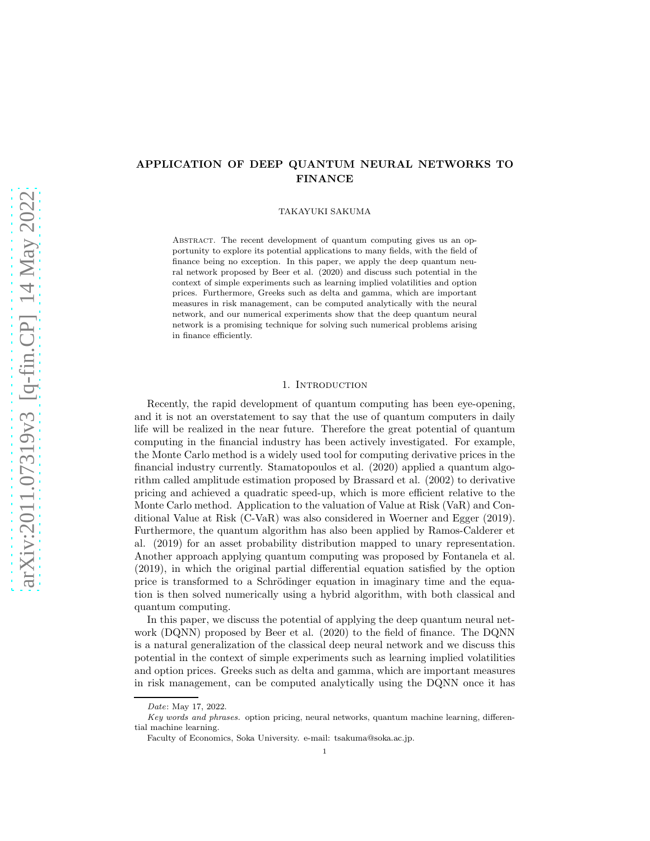# APPLICATION OF DEEP QUANTUM NEURAL NETWORKS TO FINANCE

TAKAYUKI SAKUMA

ABSTRACT. The recent development of quantum computing gives us an opportunity to explore its potential applications to many fields, with the field of finance being no exception. In this paper, we apply the deep quantum neural network proposed by Beer et al. (2020) and discuss such potential in the context of simple experiments such as learning implied volatilities and option prices. Furthermore, Greeks such as delta and gamma, which are important measures in risk management, can be computed analytically with the neural network, and our numerical experiments show that the deep quantum neural network is a promising technique for solving such numerical problems arising in finance efficiently.

## 1. INTRODUCTION

Recently, the rapid development of quantum computing has been eye-opening, and it is not an overstatement to say that the use of quantum computers in daily life will be realized in the near future. Therefore the great potential of quantum computing in the financial industry has been actively investigated. For example, the Monte Carlo method is a widely used tool for computing derivative prices in the financial industry currently. Stamatopoulos et al. (2020) applied a quantum algorithm called amplitude estimation proposed by Brassard et al. (2002) to derivative pricing and achieved a quadratic speed-up, which is more efficient relative to the Monte Carlo method. Application to the valuation of Value at Risk (VaR) and Conditional Value at Risk (C-VaR) was also considered in Woerner and Egger (2019). Furthermore, the quantum algorithm has also been applied by Ramos-Calderer et al. (2019) for an asset probability distribution mapped to unary representation. Another approach applying quantum computing was proposed by Fontanela et al. (2019), in which the original partial differential equation satisfied by the option price is transformed to a Schrödinger equation in imaginary time and the equation is then solved numerically using a hybrid algorithm, with both classical and quantum computing.

In this paper, we discuss the potential of applying the deep quantum neural network (DQNN) proposed by Beer et al. (2020) to the field of finance. The DQNN is a natural generalization of the classical deep neural network and we discuss this potential in the context of simple experiments such as learning implied volatilities and option prices. Greeks such as delta and gamma, which are important measures in risk management, can be computed analytically using the DQNN once it has

Date: May 17, 2022.

Key words and phrases. option pricing, neural networks, quantum machine learning, differential machine learning.

Faculty of Economics, Soka University. e-mail: tsakuma@soka.ac.jp.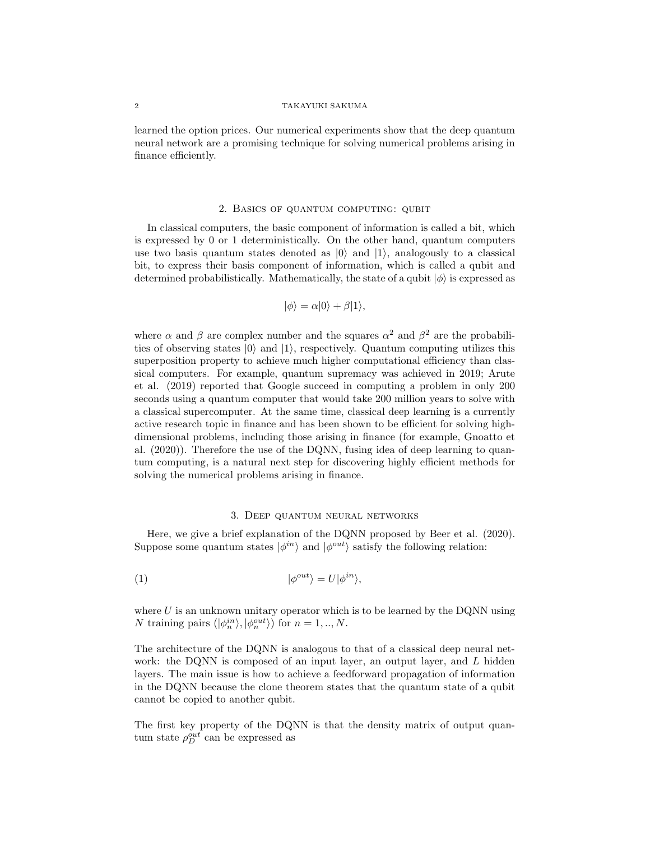learned the option prices. Our numerical experiments show that the deep quantum neural network are a promising technique for solving numerical problems arising in finance efficiently.

# 2. Basics of quantum computing: qubit

In classical computers, the basic component of information is called a bit, which is expressed by 0 or 1 deterministically. On the other hand, quantum computers use two basis quantum states denoted as  $|0\rangle$  and  $|1\rangle$ , analogously to a classical bit, to express their basis component of information, which is called a qubit and determined probabilistically. Mathematically, the state of a qubit  $|\phi\rangle$  is expressed as

$$
|\phi\rangle = \alpha|0\rangle + \beta|1\rangle,
$$

where  $\alpha$  and  $\beta$  are complex number and the squares  $\alpha^2$  and  $\beta^2$  are the probabilities of observing states  $|0\rangle$  and  $|1\rangle$ , respectively. Quantum computing utilizes this superposition property to achieve much higher computational efficiency than classical computers. For example, quantum supremacy was achieved in 2019; Arute et al. (2019) reported that Google succeed in computing a problem in only 200 seconds using a quantum computer that would take 200 million years to solve with a classical supercomputer. At the same time, classical deep learning is a currently active research topic in finance and has been shown to be efficient for solving highdimensional problems, including those arising in finance (for example, Gnoatto et al. (2020)). Therefore the use of the DQNN, fusing idea of deep learning to quantum computing, is a natural next step for discovering highly efficient methods for solving the numerical problems arising in finance.

### 3. Deep quantum neural networks

Here, we give a brief explanation of the DQNN proposed by Beer et al. (2020). Suppose some quantum states  $|\phi^{in}\rangle$  and  $|\phi^{out}\rangle$  satisfy the following relation:

(1) 
$$
|\phi^{out}\rangle = U|\phi^{in}\rangle,
$$

where  $U$  is an unknown unitary operator which is to be learned by the DQNN using N training pairs  $(|\phi_n^{in}\rangle, |\phi_n^{out}\rangle)$  for  $n = 1, ..., N$ .

The architecture of the DQNN is analogous to that of a classical deep neural network: the DQNN is composed of an input layer, an output layer, and L hidden layers. The main issue is how to achieve a feedforward propagation of information in the DQNN because the clone theorem states that the quantum state of a qubit cannot be copied to another qubit.

The first key property of the DQNN is that the density matrix of output quantum state  $\rho_D^{out}$  can be expressed as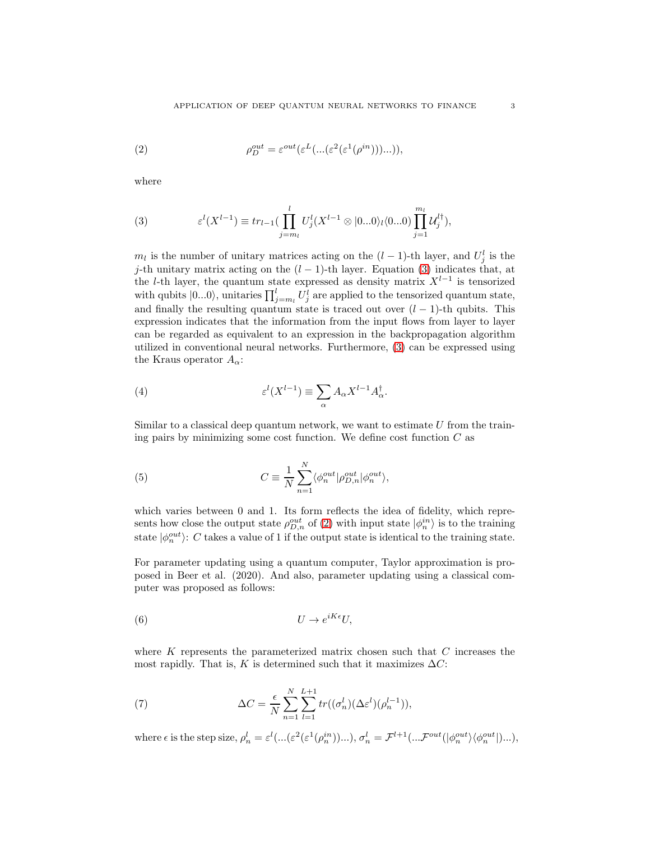<span id="page-2-1"></span>(2) 
$$
\rho_D^{out} = \varepsilon^{out}(\varepsilon^L(\dots(\varepsilon^2(\varepsilon^1(\rho^{in}))\dots)),
$$

where

<span id="page-2-0"></span>(3) 
$$
\varepsilon^{l}(X^{l-1}) \equiv tr_{l-1}(\prod_{j=m_l}^{l} U_j^{l}(X^{l-1} \otimes |0...0\rangle_l\langle 0...0) \prod_{j=1}^{m_l} U_j^{l\dagger}),
$$

 $m_l$  is the number of unitary matrices acting on the  $(l-1)$ -th layer, and  $U_j^l$  is the j-th unitary matrix acting on the  $(l-1)$ -th layer. Equation [\(3\)](#page-2-0) indicates that, at the l-th layer, the quantum state expressed as density matrix  $X^{l-1}$  is tensorized with qubits  $|0...0\rangle$ , unitaries  $\prod_{j=m_l}^{l} U_j^l$  are applied to the tensorized quantum state, and finally the resulting quantum state is traced out over  $(l-1)$ -th qubits. This expression indicates that the information from the input flows from layer to layer can be regarded as equivalent to an expression in the backpropagation algorithm utilized in conventional neural networks. Furthermore, [\(3\)](#page-2-0) can be expressed using the Kraus operator  $A_{\alpha}$ :

(4) 
$$
\varepsilon^{l}(X^{l-1}) \equiv \sum_{\alpha} A_{\alpha} X^{l-1} A_{\alpha}^{\dagger}.
$$

Similar to a classical deep quantum network, we want to estimate  $U$  from the training pairs by minimizing some cost function. We define cost function  $C$  as

(5) 
$$
C \equiv \frac{1}{N} \sum_{n=1}^{N} \langle \phi_n^{out} | \rho_{D,n}^{out} | \phi_n^{out} \rangle,
$$

which varies between 0 and 1. Its form reflects the idea of fidelity, which represents how close the output state  $\rho_{D,n}^{out}$  of [\(2\)](#page-2-1) with input state  $|\phi_n^{in}\rangle$  is to the training state  $|\phi_n^{out}\rangle$ : C takes a value of 1 if the output state is identical to the training state.

For parameter updating using a quantum computer, Taylor approximation is proposed in Beer et al. (2020). And also, parameter updating using a classical computer was proposed as follows:

$$
(6) \t\t\t U \to e^{iK\epsilon}U,
$$

where  $K$  represents the parameterized matrix chosen such that  $C$  increases the most rapidly. That is, K is determined such that it maximizes  $\Delta C$ :

(7) 
$$
\Delta C = \frac{\epsilon}{N} \sum_{n=1}^{N} \sum_{l=1}^{L+1} tr((\sigma_n^l)(\Delta \varepsilon^l)(\rho_n^{l-1})),
$$

where  $\epsilon$  is the step size,  $\rho_n^l = \varepsilon^l(\ldots(\varepsilon^2(\varepsilon^1(\rho_n^{in}))\ldots), \sigma_n^l = \mathcal{F}^{l+1}(\ldots \mathcal{F}^{out}(|\phi_n^{out}\rangle\langle\phi_n^{out}|)\ldots),$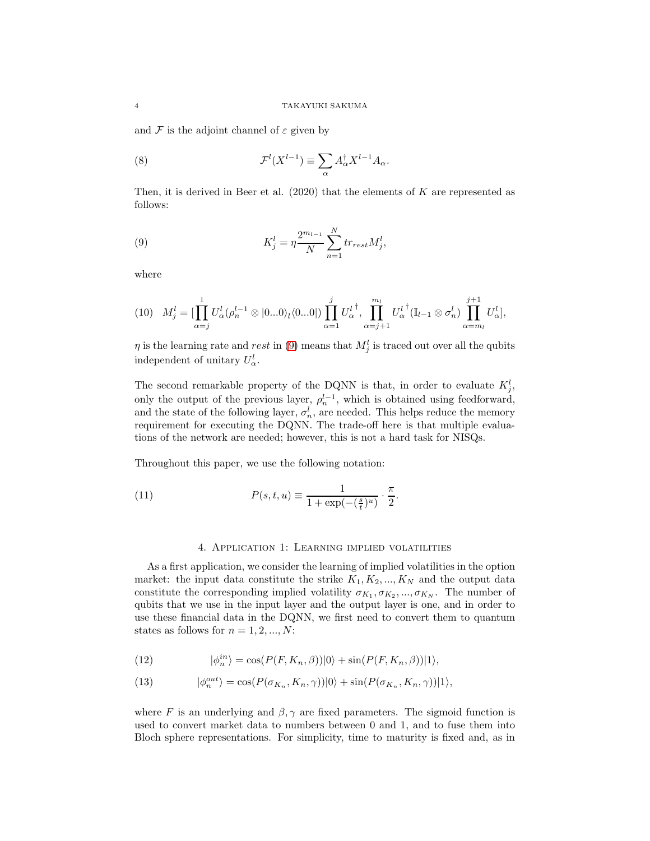and  $\mathcal F$  is the adjoint channel of  $\varepsilon$  given by

(8) 
$$
\mathcal{F}^l(X^{l-1}) \equiv \sum_{\alpha} A_{\alpha}^{\dagger} X^{l-1} A_{\alpha}.
$$

Then, it is derived in Beer et al. (2020) that the elements of K are represented as follows:

<span id="page-3-0"></span>(9) 
$$
K_j^l = \eta \frac{2^{m_{l-1}}}{N} \sum_{n=1}^N tr_{rest} M_j^l,
$$

where

$$
(10) \quad M_j^l = \left[\prod_{\alpha=j}^1 U_{\alpha}^l (\rho_n^{l-1} \otimes |0...0\rangle_l \langle 0...0|) \prod_{\alpha=1}^j U_{\alpha}^{l^{\dagger}}, \prod_{\alpha=j+1}^{m_l} U_{\alpha}^{l^{\dagger}} (\mathbb{I}_{l-1} \otimes \sigma_n^l) \prod_{\alpha=m_l}^{j+1} U_{\alpha}^l \right],
$$

 $\eta$  is the learning rate and *rest* in [\(9\)](#page-3-0) means that  $M_j^l$  is traced out over all the qubits independent of unitary  $U^l_{\alpha}$ .

The second remarkable property of the DQNN is that, in order to evaluate  $K_j^l$ , only the output of the previous layer,  $\rho_n^{l-1}$ , which is obtained using feedforward, and the state of the following layer,  $\sigma_n^l$ , are needed. This helps reduce the memory requirement for executing the DQNN. The trade-off here is that multiple evaluations of the network are needed; however, this is not a hard task for NISQs.

Throughout this paper, we use the following notation:

(11) 
$$
P(s,t,u) \equiv \frac{1}{1 + \exp(-(\frac{s}{t})^u)} \cdot \frac{\pi}{2}.
$$

# 4. Application 1: Learning implied volatilities

As a first application, we consider the learning of implied volatilities in the option market: the input data constitute the strike  $K_1, K_2, ..., K_N$  and the output data constitute the corresponding implied volatility  $\sigma_{K_1}, \sigma_{K_2}, ..., \sigma_{K_N}$ . The number of qubits that we use in the input layer and the output layer is one, and in order to use these financial data in the DQNN, we first need to convert them to quantum states as follows for  $n = 1, 2, ..., N$ :

(12) 
$$
|\phi_n^{in}\rangle = \cos(P(F, K_n, \beta))|0\rangle + \sin(P(F, K_n, \beta))|1\rangle,
$$

(13) 
$$
|\phi_n^{out}\rangle = \cos(P(\sigma_{K_n}, K_n, \gamma))|0\rangle + \sin(P(\sigma_{K_n}, K_n, \gamma))|1\rangle,
$$

where F is an underlying and  $\beta$ ,  $\gamma$  are fixed parameters. The sigmoid function is used to convert market data to numbers between 0 and 1, and to fuse them into Bloch sphere representations. For simplicity, time to maturity is fixed and, as in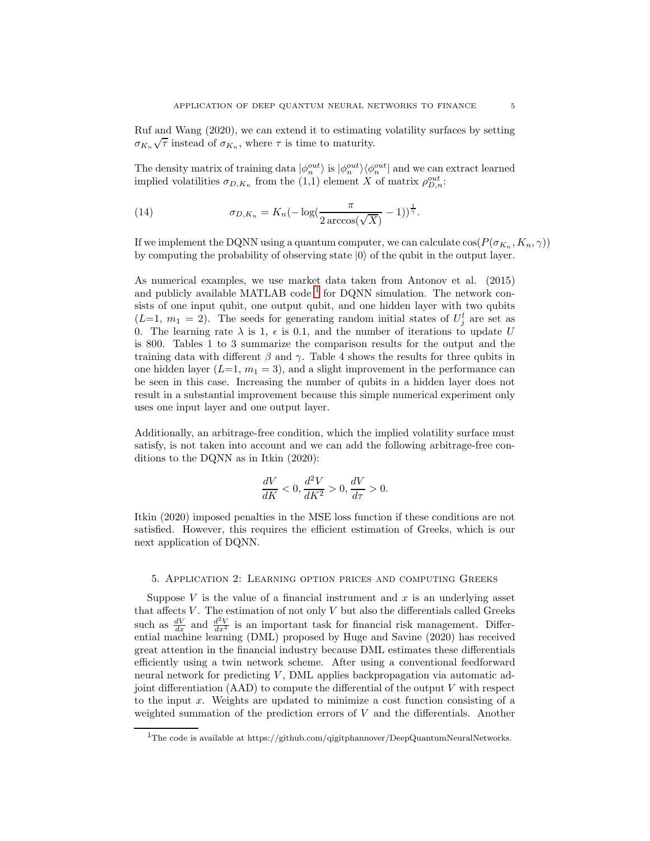Ruf and Wang (2020), we can extend it to estimating volatility surfaces by setting  $\sigma_{K_n}\sqrt{\tau}$  instead of  $\sigma_{K_n}$ , where  $\tau$  is time to maturity.

The density matrix of training data  $|\phi_n^{out}\rangle$  is  $|\phi_n^{out}\rangle\langle\phi_n^{out}|$  and we can extract learned implied volatilities  $\sigma_{D,K_n}$  from the (1,1) element X of matrix  $\rho_{D,n}^{out}$ :

(14) 
$$
\sigma_{D,K_n} = K_n \left(-\log\left(\frac{\pi}{2\arccos(\sqrt{X})}-1\right)\right)^{\frac{1}{\gamma}}.
$$

If we implement the DQNN using a quantum computer, we can calculate  $\cos(P(\sigma_{K_n}, K_n, \gamma))$ by computing the probability of observing state  $|0\rangle$  of the qubit in the output layer.

As numerical examples, we use market data taken from Antonov et al. (2015) and publicly available MATLAB code  $^1$  $^1$  for DQNN simulation. The network consists of one input qubit, one output qubit, and one hidden layer with two qubits  $(L=1, m_1 = 2)$ . The seeds for generating random initial states of  $U_j^l$  are set as 0. The learning rate  $\lambda$  is 1,  $\epsilon$  is 0.1, and the number of iterations to update U is 800. Tables 1 to 3 summarize the comparison results for the output and the training data with different  $\beta$  and  $\gamma$ . Table 4 shows the results for three qubits in one hidden layer  $(L=1, m_1 = 3)$ , and a slight improvement in the performance can be seen in this case. Increasing the number of qubits in a hidden layer does not result in a substantial improvement because this simple numerical experiment only uses one input layer and one output layer.

Additionally, an arbitrage-free condition, which the implied volatility surface must satisfy, is not taken into account and we can add the following arbitrage-free conditions to the DQNN as in Itkin (2020):

$$
\frac{dV}{dK} < 0, \frac{d^2V}{dK^2} > 0, \frac{dV}{d\tau} > 0.
$$

Itkin (2020) imposed penalties in the MSE loss function if these conditions are not satisfied. However, this requires the efficient estimation of Greeks, which is our next application of DQNN.

# 5. Application 2: Learning option prices and computing Greeks

Suppose  $V$  is the value of a financial instrument and  $x$  is an underlying asset that affects  $V$ . The estimation of not only  $V$  but also the differentials called Greeks such as  $\frac{dV}{dx}$  and  $\frac{d^2V}{dx^2}$  is an important task for financial risk management. Differential machine learning (DML) proposed by Huge and Savine (2020) has received great attention in the financial industry because DML estimates these differentials efficiently using a twin network scheme. After using a conventional feedforward neural network for predicting  $V$ , DML applies backpropagation via automatic adjoint differentiation  $(AAD)$  to compute the differential of the output  $V$  with respect to the input  $x$ . Weights are updated to minimize a cost function consisting of a weighted summation of the prediction errors of  $V$  and the differentials. Another

<span id="page-4-0"></span><sup>&</sup>lt;sup>1</sup>The code is available at https://github.com/qigitphannover/DeepQuantumNeuralNetworks.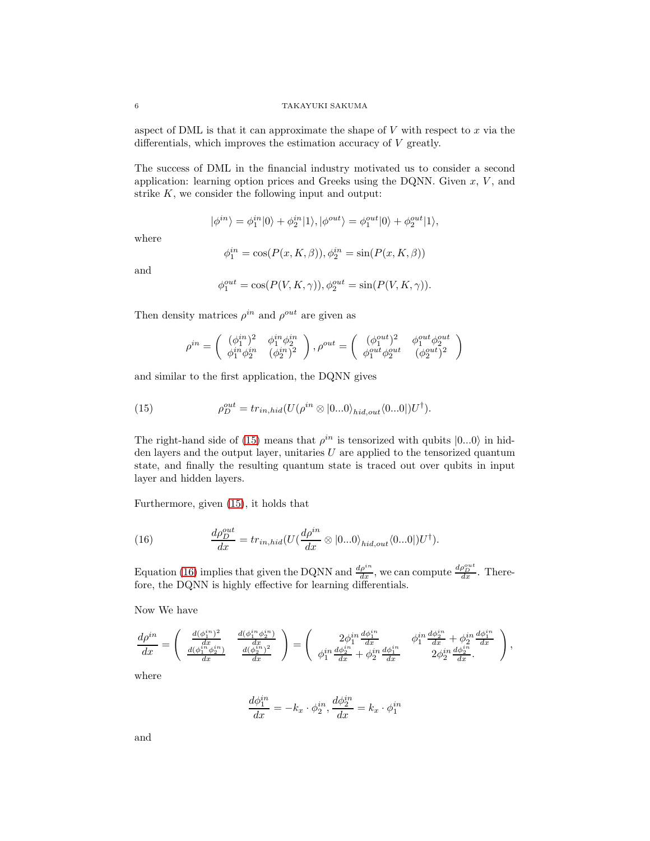aspect of DML is that it can approximate the shape of  $V$  with respect to  $x$  via the differentials, which improves the estimation accuracy of  $V$  greatly.

The success of DML in the financial industry motivated us to consider a second application: learning option prices and Greeks using the DQNN. Given  $x, V$ , and strike  $K$ , we consider the following input and output:

$$
|\phi^{in}\rangle=\phi^{in}_1|0\rangle+\phi^{in}_2|1\rangle, |\phi^{out}\rangle=\phi^{out}_1|0\rangle+\phi^{out}_2|1\rangle,
$$

where

$$
\phi_1^{in} = \cos(P(x, K, \beta)), \phi_2^{in} = \sin(P(x, K, \beta))
$$

and

$$
\phi_1^{out} = \cos(P(V, K, \gamma)), \phi_2^{out} = \sin(P(V, K, \gamma)).
$$

Then density matrices  $\rho^{in}$  and  $\rho^{out}$  are given as

<span id="page-5-0"></span>
$$
\rho^{in}=\left(\begin{array}{cc}(\phi^{in}_1)^2 & \phi^{in}_1\phi^{in}_2\\ \phi^{in}_1\phi^{in}_2 & (\phi^{in}_2)^2\end{array}\right), \rho^{out}=\left(\begin{array}{cc}(\phi^{out}_1)^2 & \phi^{out}_1\phi^{out}_2\\ \phi^{out}_1\phi^{out}_2 & (\phi^{out}_2)^2\end{array}\right)
$$

and similar to the first application, the DQNN gives

(15) 
$$
\rho_D^{out} = tr_{in,hid}(U(\rho^{in} \otimes |0...0\rangle_{hid,out}\langle 0...0|)U^{\dagger}).
$$

The right-hand side of [\(15\)](#page-5-0) means that  $\rho^{in}$  is tensorized with qubits  $|0...0\rangle$  in hidden layers and the output layer, unitaries  $U$  are applied to the tensorized quantum state, and finally the resulting quantum state is traced out over qubits in input layer and hidden layers.

Furthermore, given [\(15\)](#page-5-0), it holds that

<span id="page-5-1"></span>(16) 
$$
\frac{d\rho_D^{out}}{dx} = tr_{in,hid}(U(\frac{d\rho^{in}}{dx} \otimes |0...0\rangle_{hid,out}\langle 0...0|)U^{\dagger}).
$$

Equation [\(16\)](#page-5-1) implies that given the DQNN and  $\frac{d\rho_i^{in}}{dx}$ , we can compute  $\frac{d\rho_D^{out}}{dx}$ . Therefore, the DQNN is highly effective for learning differentials.

Now We have

$$
\frac{d\rho^{in}}{dx} = \begin{pmatrix} \frac{d(\phi_1^{in})^2}{dx} & \frac{d(\phi_1^{in}\phi_2^{in})}{dx} \\ \frac{d(\phi_1^{in}\phi_2^{in})}{dx} & \frac{d(\phi_2^{in})^2}{dx} \end{pmatrix} = \begin{pmatrix} 2\phi_1^{in} \frac{d\phi_1^{in}}{dx} & \phi_1^{in} \frac{d\phi_2^{in}}{dx} + \phi_2^{in} \frac{d\phi_1^{in}}{dx} \\ \phi_1^{in} \frac{d\phi_2^{in}}{dx} + \phi_2^{in} \frac{d\phi_1^{in}}{dx} & 2\phi_2^{in} \frac{d\phi_2^{in}}{dx} \end{pmatrix},
$$

where

$$
\frac{d\phi_1^{in}}{dx} = -k_x \cdot \phi_2^{in}, \frac{d\phi_2^{in}}{dx} = k_x \cdot \phi_1^{in}
$$

and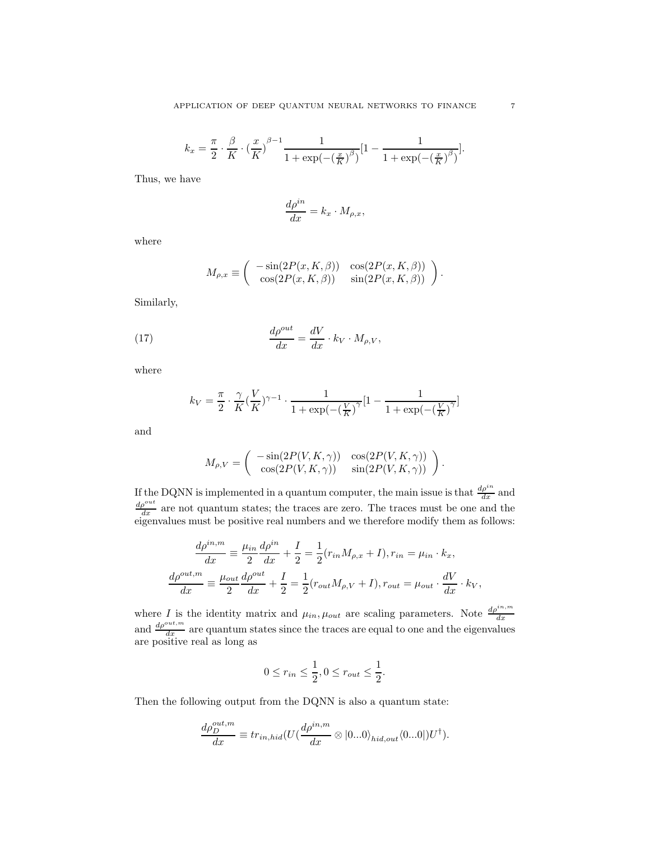$$
k_x = \frac{\pi}{2} \cdot \frac{\beta}{K} \cdot \left(\frac{x}{K}\right)^{\beta - 1} \frac{1}{1 + \exp(-\left(\frac{x}{K}\right)^{\beta})} \left[1 - \frac{1}{1 + \exp(-\left(\frac{x}{K}\right)^{\beta})}\right].
$$

Thus, we have

$$
\frac{d\rho^{in}}{dx} = k_x \cdot M_{\rho,x},
$$

where

$$
M_{\rho,x} \equiv \begin{pmatrix} -\sin(2P(x,K,\beta)) & \cos(2P(x,K,\beta)) \\ \cos(2P(x,K,\beta)) & \sin(2P(x,K,\beta)) \end{pmatrix}.
$$

Similarly,

(17) 
$$
\frac{d\rho^{out}}{dx} = \frac{dV}{dx} \cdot k_V \cdot M_{\rho,V},
$$

where

$$
k_V = \frac{\pi}{2} \cdot \frac{\gamma}{K} (\frac{V}{K})^{\gamma - 1} \cdot \frac{1}{1 + \exp(-(\frac{V}{K})^{\gamma}} [1 - \frac{1}{1 + \exp(-(\frac{V}{K})^{\gamma}}]
$$

and

$$
M_{\rho,V} = \begin{pmatrix} -\sin(2P(V,K,\gamma)) & \cos(2P(V,K,\gamma)) \\ \cos(2P(V,K,\gamma)) & \sin(2P(V,K,\gamma)) \end{pmatrix}.
$$

If the DQNN is implemented in a quantum computer, the main issue is that  $\frac{d\rho^{in}}{dx}$  and  $\frac{d\rho^{out}}{dx}$  are not quantum states; the traces are zero. The traces must be one and the eigenvalues must be positive real numbers and we therefore modify them as follows:

$$
\frac{d\rho^{in,m}}{dx} \equiv \frac{\mu_{in}}{2} \frac{d\rho^{in}}{dx} + \frac{I}{2} = \frac{1}{2} (r_{in} M_{\rho,x} + I), r_{in} = \mu_{in} \cdot k_x,
$$

$$
\frac{d\rho^{out,m}}{dx} \equiv \frac{\mu_{out}}{2} \frac{d\rho^{out}}{dx} + \frac{I}{2} = \frac{1}{2} (r_{out} M_{\rho,V} + I), r_{out} = \mu_{out} \cdot \frac{dV}{dx} \cdot k_V,
$$

where *I* is the identity matrix and  $\mu_{in}$ ,  $\mu_{out}$  are scaling parameters. Note  $\frac{d\rho^{in,m}_{dx}}{dx}$  and  $\frac{d\rho^{out,m}_{dx}}{dx}$  are quantum states since the traces are equal to one and the eigenvalues are positive real as long as

$$
0 \le r_{in} \le \frac{1}{2}, 0 \le r_{out} \le \frac{1}{2}.
$$

Then the following output from the DQNN is also a quantum state:

$$
\frac{d\rho_D^{out,m}}{dx} \equiv tr_{in,hid}(U(\frac{d\rho^{in,m}}{dx} \otimes |0...0\rangle_{hid,out}\langle 0...0|)U^{\dagger}).
$$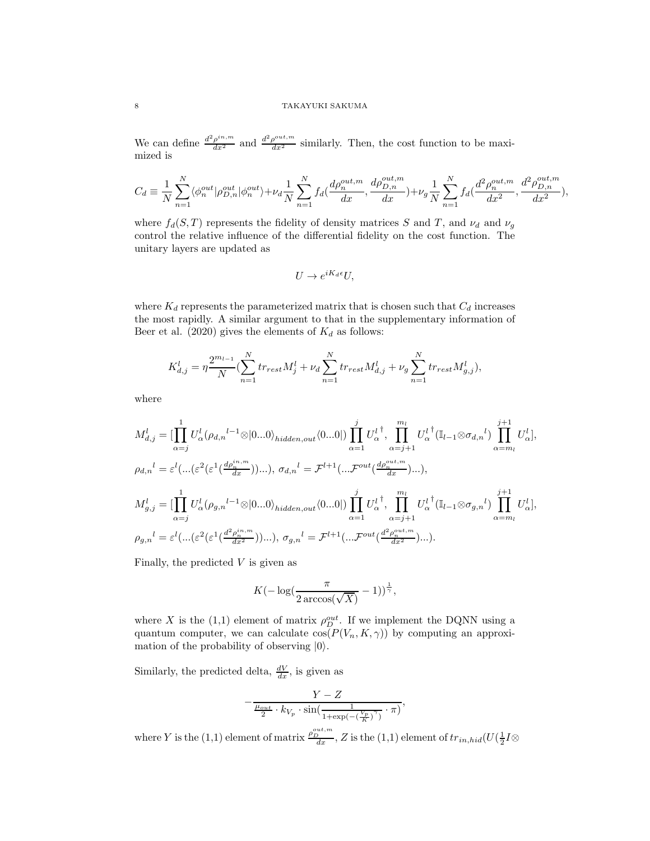We can define  $\frac{d^2 \rho^{in,m}}{dx^2}$  and  $\frac{d^2 \rho^{out,m}}{dx^2}$  similarly. Then, the cost function to be maximized is

$$
C_d \equiv \frac{1}{N} \sum_{n=1}^{N} \langle \phi_n^{out} | \rho_{D,n}^{out} | \phi_n^{out} \rangle + \nu_d \frac{1}{N} \sum_{n=1}^{N} f_d(\frac{d\rho_n^{out,m}}{dx}, \frac{d\rho_{D,n}^{out,m}}{dx}) + \nu_g \frac{1}{N} \sum_{n=1}^{N} f_d(\frac{d^2\rho_n^{out,m}}{dx^2}, \frac{d^2\rho_{D,n}^{out,m}}{dx^2}),
$$

where  $f_d(S,T)$  represents the fidelity of density matrices S and T, and  $\nu_d$  and  $\nu_g$ control the relative influence of the differential fidelity on the cost function. The unitary layers are updated as

$$
U \to e^{iK_d \epsilon} U,
$$

where  $K_d$  represents the parameterized matrix that is chosen such that  $C_d$  increases the most rapidly. A similar argument to that in the supplementary information of Beer et al. (2020) gives the elements of  $K_d$  as follows:

$$
K_{d,j}^l = \eta \frac{2^{m_{l-1}}}{N} \left( \sum_{n=1}^N tr_{rest} M_j^l + \nu_d \sum_{n=1}^N tr_{rest} M_{d,j}^l + \nu_g \sum_{n=1}^N tr_{rest} M_{g,j}^l \right),
$$

where

$$
M_{d,j}^l = \left[\prod_{\alpha=j}^1 U_{\alpha}^l (\rho_{d,n}^{l-1} \otimes |0...0\rangle_{hidden,out} \langle 0...0|) \prod_{\alpha=1}^j U_{\alpha}^{l^{\dagger}}, \prod_{\alpha=j+1}^{m_l} U_{\alpha}^{l^{\dagger}} (\mathbb{I}_{l-1} \otimes \sigma_{d,n}^{l}) \prod_{\alpha=m_l}^{j+1} U_{\alpha}^{l},
$$
  
\n
$$
\rho_{d,n}^l = \varepsilon^l (\dots (\varepsilon^2 (\varepsilon^1 (\frac{d\rho_n^{in,m}}{dx})))...), \sigma_{d,n}^l = \mathcal{F}^{l+1} (\dots \mathcal{F}^{out} (\frac{d\rho_n^{out,m}}{dx})))...),
$$
  
\n
$$
M_{g,j}^l = \left[\prod_{\alpha=j}^1 U_{\alpha}^l (\rho_{g,n}^{l-1} \otimes |0...0\rangle_{hidden,out} \langle 0...0|) \prod_{\alpha=1}^j U_{\alpha}^{l^{\dagger}}, \prod_{\alpha=j+1}^{m_l} U_{\alpha}^{l^{\dagger}} (\mathbb{I}_{l-1} \otimes \sigma_{g,n}^{l}) \prod_{\alpha=m_l}^{j+1} U_{\alpha}^{l},
$$
  
\n
$$
\rho_{g,n}^l = \varepsilon^l (\dots (\varepsilon^2 (\varepsilon^1 (\frac{d^2\rho_n^{in,m}}{dx^2}))...), \sigma_{g,n}^l = \mathcal{F}^{l+1} (\dots \mathcal{F}^{out} (\frac{d^2\rho_n^{out,m}}{dx^2})...).
$$

Finally, the predicted  $V$  is given as

$$
K(-\log(\frac{\pi}{2\arccos(\sqrt{X})}-1))^{\frac{1}{\gamma}},
$$

where X is the (1,1) element of matrix  $\rho_D^{out}$ . If we implement the DQNN using a quantum computer, we can calculate  $\cos(P(V_n, K, \gamma))$  by computing an approximation of the probability of observing  $|0\rangle$ .

Similarly, the predicted delta,  $\frac{dV}{dx}$ , is given as

$$
-\frac{Y-Z}{\frac{\mu_{out}}{2}\cdot k_{V_p}\cdot\sin(\frac{1}{1+\exp(-(\frac{V_p}{K})^{\gamma})}\cdot\pi)},
$$

where Y is the (1,1) element of matrix  $\frac{\rho_{\mu}^{out,m}}{dx}$ , Z is the (1,1) element of  $tr_{in,hid}(U(\frac{1}{2}I\otimes$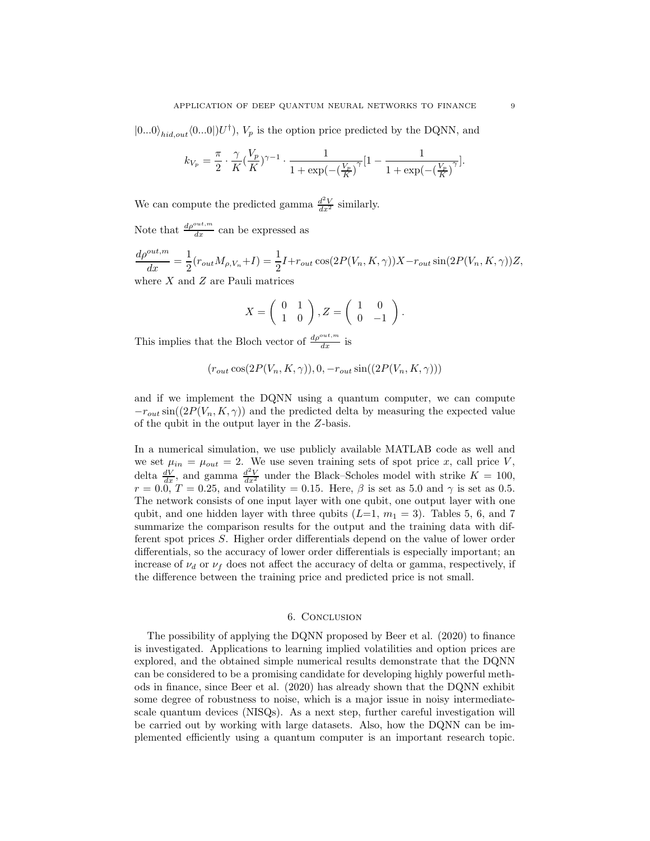$|0...0\rangle_{hid,out}\langle0...0|$ ,  $U^{\dagger}$ ,  $V_p$  is the option price predicted by the DQNN, and

$$
k_{V_p} = \frac{\pi}{2} \cdot \frac{\gamma}{K} (\frac{V_p}{K})^{\gamma - 1} \cdot \frac{1}{1 + \exp(-(\frac{V_p}{K})^{\gamma}} [1 - \frac{1}{1 + \exp(-(\frac{V_p}{K})^{\gamma}}].
$$

We can compute the predicted gamma  $\frac{d^2V}{dx^2}$  similarly.

Note that  $\frac{d\rho^{out,m}}{dx}$  can be expressed as

 $d\rho^{out,m}$  $\frac{out,m}{dx} = \frac{1}{2}$  $\frac{1}{2}(r_{out}M_{\rho,V_n}+I) = \frac{1}{2}I + r_{out}\cos(2P(V_n, K, \gamma))X - r_{out}\sin(2P(V_n, K, \gamma))Z,$ where  $X$  and  $Z$  are Pauli matrices

$$
X = \left(\begin{array}{cc} 0 & 1 \\ 1 & 0 \end{array}\right), Z = \left(\begin{array}{cc} 1 & 0 \\ 0 & -1 \end{array}\right).
$$

This implies that the Bloch vector of  $\frac{d\rho^{out,m}}{dx}$  is

$$
(r_{out}\cos(2P(V_n, K, \gamma)), 0, -r_{out}\sin((2P(V_n, K, \gamma)))
$$

and if we implement the DQNN using a quantum computer, we can compute  $-r_{out} \sin((2P(V_n, K, \gamma))$  and the predicted delta by measuring the expected value of the qubit in the output layer in the Z-basis.

In a numerical simulation, we use publicly available MATLAB code as well and we set  $\mu_{in} = \mu_{out} = 2$ . We use seven training sets of spot price x, call price V, delta  $\frac{dV}{dx}$ , and gamma  $\frac{d^2V}{dx^2}$  under the Black–Scholes model with strike  $K = 100$ ,  $r = 0.0, T = 0.25$ , and volatility = 0.15. Here,  $\beta$  is set as 5.0 and  $\gamma$  is set as 0.5. The network consists of one input layer with one qubit, one output layer with one qubit, and one hidden layer with three qubits  $(L=1, m_1 = 3)$ . Tables 5, 6, and 7 summarize the comparison results for the output and the training data with different spot prices S. Higher order differentials depend on the value of lower order differentials, so the accuracy of lower order differentials is especially important; an increase of  $\nu_d$  or  $\nu_f$  does not affect the accuracy of delta or gamma, respectively, if the difference between the training price and predicted price is not small.

### 6. Conclusion

The possibility of applying the DQNN proposed by Beer et al. (2020) to finance is investigated. Applications to learning implied volatilities and option prices are explored, and the obtained simple numerical results demonstrate that the DQNN can be considered to be a promising candidate for developing highly powerful methods in finance, since Beer et al. (2020) has already shown that the DQNN exhibit some degree of robustness to noise, which is a major issue in noisy intermediatescale quantum devices (NISQs). As a next step, further careful investigation will be carried out by working with large datasets. Also, how the DQNN can be implemented efficiently using a quantum computer is an important research topic.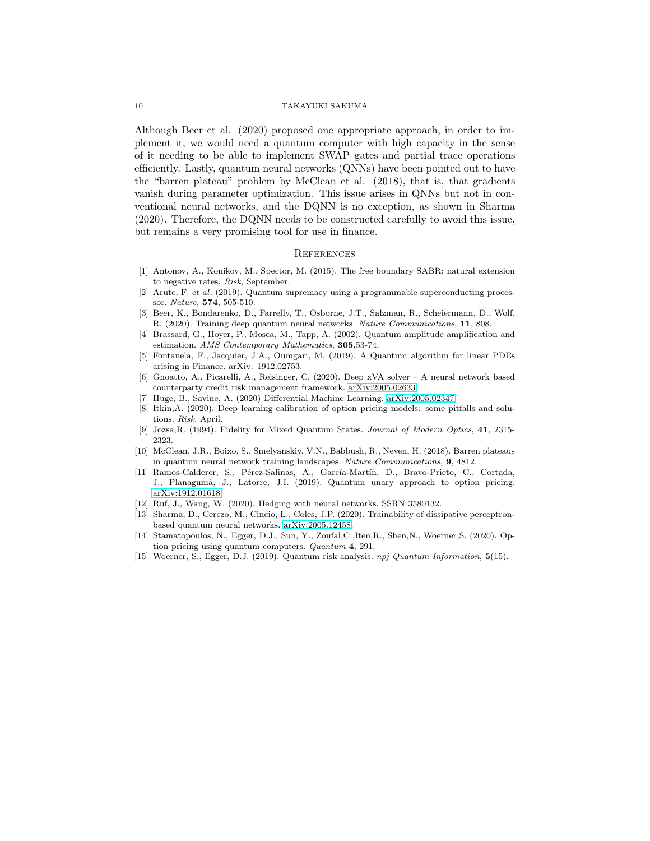Although Beer et al. (2020) proposed one appropriate approach, in order to implement it, we would need a quantum computer with high capacity in the sense of it needing to be able to implement SWAP gates and partial trace operations efficiently. Lastly, quantum neural networks (QNNs) have been pointed out to have the "barren plateau" problem by McClean et al. (2018), that is, that gradients vanish during parameter optimization. This issue arises in QNNs but not in conventional neural networks, and the DQNN is no exception, as shown in Sharma (2020). Therefore, the DQNN needs to be constructed carefully to avoid this issue, but remains a very promising tool for use in finance.

## **REFERENCES**

- [1] Antonov, A., Konikov, M., Spector, M. (2015). The free boundary SABR: natural extension to negative rates. Risk, September.
- [2] Arute, F. et al. (2019). Quantum supremacy using a programmable superconducting processor. Nature, 574, 505-510.
- [3] Beer, K., Bondarenko, D., Farrelly, T., Osborne, J.T., Salzman, R., Scheiermann, D., Wolf, R. (2020). Training deep quantum neural networks. Nature Communications, 11, 808.
- [4] Brassard, G., Hoyer, P., Mosca, M., Tapp, A. (2002). Quantum amplitude amplification and estimation. AMS Contemporary Mathematics, 305,53-74.
- [5] Fontanela, F., Jacquier, J.A., Oumgari, M. (2019). A Quantum algorithm for linear PDEs arising in Finance. arXiv: 1912.02753.
- [6] Gnoatto, A., Picarelli, A., Reisinger, C. (2020). Deep xVA solver A neural network based counterparty credit risk management framework. [arXiv:2005.02633.](http://arxiv.org/abs/2005.02633)
- [7] Huge, B., Savine, A. (2020) Differential Machine Learning. [arXiv:2005.02347.](http://arxiv.org/abs/2005.02347)
- [8] Itkin,A. (2020). Deep learning calibration of option pricing models: some pitfalls and solutions. Risk, April.
- [9] Jozsa,R. (1994). Fidelity for Mixed Quantum States. Journal of Modern Optics, 41, 2315- 2323.
- [10] McClean, J.R., Boixo, S., Smelyanskiy, V.N., Babbush, R., Neven, H. (2018). Barren plateaus in quantum neural network training landscapes. Nature Communications, 9, 4812.
- [11] Ramos-Calderer, S., Pérez-Salinas, A., García-Martín, D., Bravo-Prieto, C., Cortada, J., Planagum`a, J., Latorre, J.I. (2019). Quantum unary approach to option pricing. [arXiv:1912.01618.](http://arxiv.org/abs/1912.01618)
- [12] Ruf, J., Wang, W. (2020). Hedging with neural networks. SSRN 3580132.
- [13] Sharma, D., Cerezo, M., Cincio, L., Coles, J.P. (2020). Trainability of dissipative perceptronbased quantum neural networks. [arXiv:2005.12458.](http://arxiv.org/abs/2005.12458)
- [14] Stamatopoulos, N., Egger, D.J., Sun, Y., Zoufal,C.,Iten,R., Shen,N., Woerner,S. (2020). Option pricing using quantum computers. Quantum 4, 291.
- [15] Woerner, S., Egger, D.J. (2019). Quantum risk analysis. npj Quantum Information, 5(15).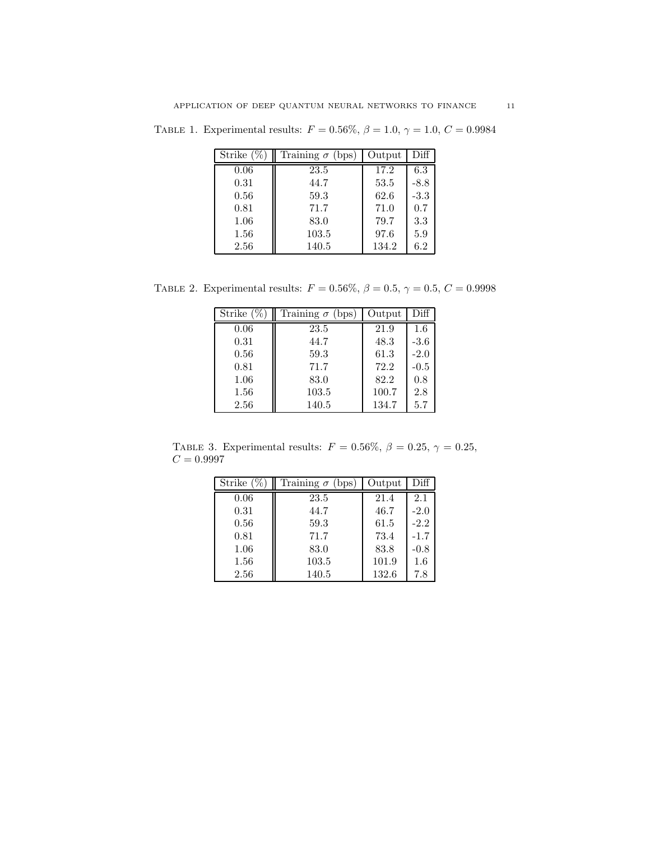TABLE 1. Experimental results:  $F = 0.56\%, \beta = 1.0, \gamma = 1.0, C = 0.9984$ 

| Strike $(\% )$ | Training $\sigma$ (bps) | Output | Diff   |
|----------------|-------------------------|--------|--------|
| 0.06           | 23.5                    | 17.2   | 6.3    |
| 0.31           | 44.7                    | 53.5   | $-8.8$ |
| 0.56           | 59.3                    | 62.6   | $-3.3$ |
| 0.81           | 71.7                    | 71.0   | 0.7    |
| 1.06           | 83.0                    | 79.7   | 3.3    |
| 1.56           | 103.5                   | 97.6   | 5.9    |
| 2.56           | 140.5                   | 134.2  | 6.2    |

TABLE 2. Experimental results:  $F = 0.56\%, \beta = 0.5, \gamma = 0.5, C = 0.9998$ 

| Strike $(\%$ | Training $\sigma$<br>bps | Output | Diff   |
|--------------|--------------------------|--------|--------|
| 0.06         | 23.5                     | 21.9   | 1.6    |
| 0.31         | 44.7                     | 48.3   | $-3.6$ |
| 0.56         | 59.3                     | 61.3   | $-2.0$ |
| 0.81         | 71.7                     | 72.2   | $-0.5$ |
| 1.06         | 83.0                     | 82.2   | 0.8    |
| 1.56         | 103.5                    | 100.7  | 2.8    |
| 2.56         | 140.5                    | 134.7  | 5.7    |

TABLE 3. Experimental results:  $F = 0.56\%, \beta = 0.25, \gamma = 0.25,$  $C = 0.9997$ 

| Strike $($ | Training $\sigma$<br>bps | Output | Diff   |
|------------|--------------------------|--------|--------|
| 0.06       | 23.5                     | 21.4   | 2.1    |
| 0.31       | 44.7                     | 46.7   | $-2.0$ |
| 0.56       | 59.3                     | 61.5   | $-2.2$ |
| 0.81       | 71.7                     | 73.4   | $-1.7$ |
| 1.06       | 83.0                     | 83.8   | $-0.8$ |
| 1.56       | 103.5                    | 101.9  | 1.6    |
| 2.56       | 140.5                    | 132.6  | 7.8    |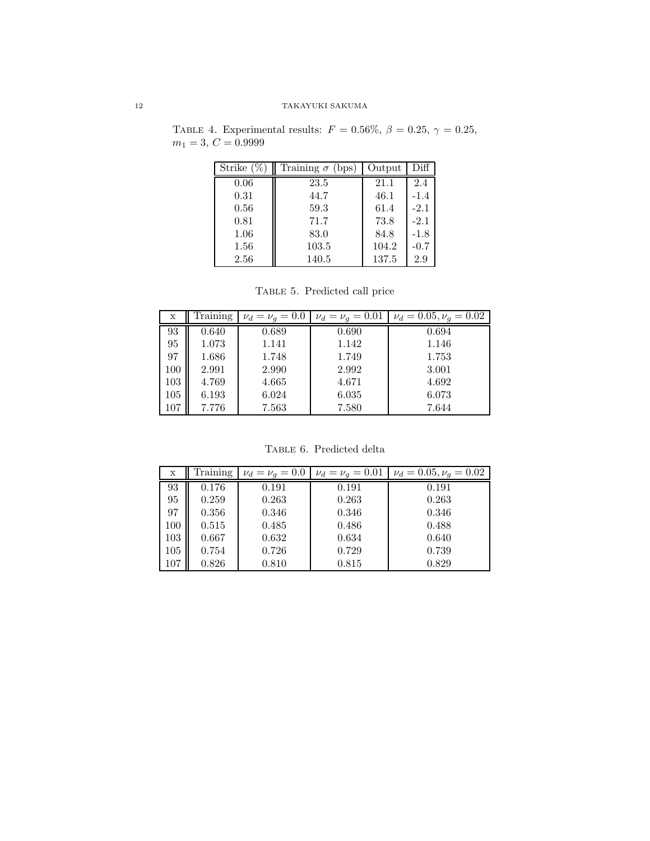TABLE 4. Experimental results:  $F = 0.56\%, \beta = 0.25, \gamma = 0.25,$  $m_1 = 3, C = 0.9999$ 

| Strike (% | Training $\sigma$<br>(bps) | Output | Diff   |
|-----------|----------------------------|--------|--------|
| 0.06      | 23.5                       | 21.1   | 2.4    |
| 0.31      | 44.7                       | 46.1   | $-1.4$ |
| 0.56      | 59.3                       | 61.4   | $-2.1$ |
| 0.81      | 71.7                       | 73.8   | $-2.1$ |
| 1.06      | 83.0                       | 84.8   | $-1.8$ |
| 1.56      | 103.5                      | 104.2  | $-0.7$ |
| 2.56      | 140.5                      | 137.5  | 2.9    |

Table 5. Predicted call price

| х   | Training | $\nu_d = \nu_q = 0.0$ | $\nu_d = \nu_g = 0.01$ | $\nu_d = 0.05, \nu_g = 0.02$ |
|-----|----------|-----------------------|------------------------|------------------------------|
| 93  | 0.640    | 0.689                 | 0.690                  | 0.694                        |
| 95  | 1.073    | 1.141                 | 1.142                  | 1.146                        |
| 97  | 1.686    | 1.748                 | 1.749                  | 1.753                        |
| 100 | 2.991    | 2.990                 | 2.992                  | 3.001                        |
| 103 | 4.769    | 4.665                 | 4.671                  | 4.692                        |
| 105 | 6.193    | 6.024                 | 6.035                  | 6.073                        |
| 107 | 7.776    | 7.563                 | 7.580                  | 7.644                        |

TABLE 6. Predicted delta

| х   | Training | $\nu_d = \nu_q = 0.0$ | $\nu_d = \nu_g = 0.01$ | $\nu_d = 0.05, \nu_q = 0.02$ |
|-----|----------|-----------------------|------------------------|------------------------------|
| 93  | 0.176    | 0.191                 | 0.191                  | 0.191                        |
| 95  | 0.259    | 0.263                 | 0.263                  | 0.263                        |
| 97  | 0.356    | 0.346                 | 0.346                  | 0.346                        |
| 100 | 0.515    | 0.485                 | 0.486                  | 0.488                        |
| 103 | 0.667    | 0.632                 | 0.634                  | 0.640                        |
| 105 | 0.754    | 0.726                 | 0.729                  | 0.739                        |
| 107 | 0.826    | 0.810                 | 0.815                  | 0.829                        |